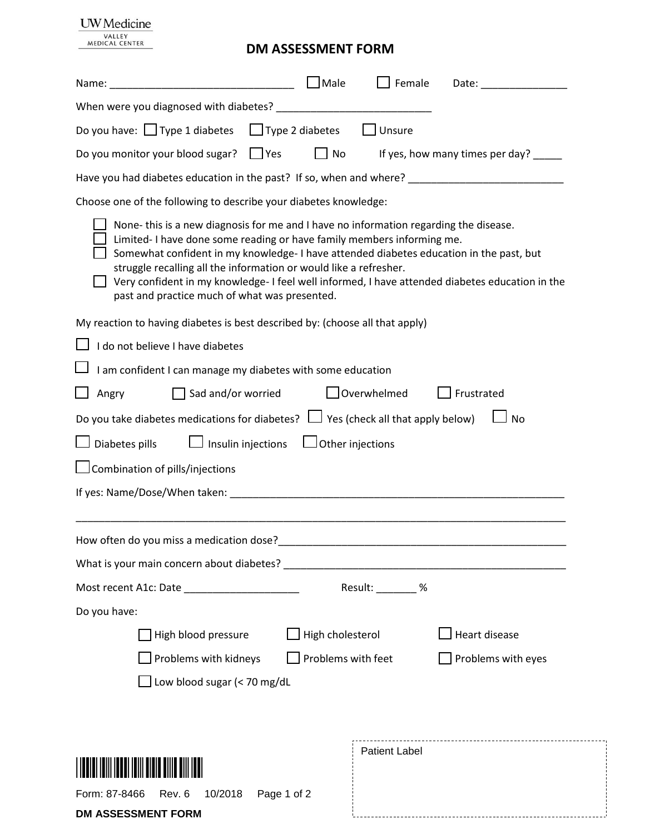## **UW** Medicine VALLEY<br>MEDICAL CENTER

## **DM ASSESSMENT FORM**

| Name:                                                                                                                                                                                       | $\Box$ Male<br>Female<br>Date: the contract of the contract of the contract of the contract of the contract of the contract of the contract of the contract of the contract of the contract of the contract of the contract of the contract of the cont                           |
|---------------------------------------------------------------------------------------------------------------------------------------------------------------------------------------------|-----------------------------------------------------------------------------------------------------------------------------------------------------------------------------------------------------------------------------------------------------------------------------------|
|                                                                                                                                                                                             |                                                                                                                                                                                                                                                                                   |
| Do you have: $\Box$ Type 1 diabetes $\Box$ Type 2 diabetes                                                                                                                                  | $\Box$ Unsure                                                                                                                                                                                                                                                                     |
| Do you monitor your blood sugar?<br>$\Box$ Yes                                                                                                                                              | No<br>If yes, how many times per day? _____                                                                                                                                                                                                                                       |
|                                                                                                                                                                                             | Have you had diabetes education in the past? If so, when and where? ________________________________                                                                                                                                                                              |
| Choose one of the following to describe your diabetes knowledge:                                                                                                                            |                                                                                                                                                                                                                                                                                   |
| Limited-I have done some reading or have family members informing me.<br>struggle recalling all the information or would like a refresher.<br>past and practice much of what was presented. | None-this is a new diagnosis for me and I have no information regarding the disease.<br>Somewhat confident in my knowledge-I have attended diabetes education in the past, but<br>Very confident in my knowledge- I feel well informed, I have attended diabetes education in the |
| My reaction to having diabetes is best described by: (choose all that apply)                                                                                                                |                                                                                                                                                                                                                                                                                   |
| I do not believe I have diabetes                                                                                                                                                            |                                                                                                                                                                                                                                                                                   |
| I am confident I can manage my diabetes with some education                                                                                                                                 |                                                                                                                                                                                                                                                                                   |
| $\Box$ Sad and/or worried<br>Angry                                                                                                                                                          | overwhelmed<br>Frustrated                                                                                                                                                                                                                                                         |
| Do you take diabetes medications for diabetes? $\Box$ Yes (check all that apply below)                                                                                                      | J No                                                                                                                                                                                                                                                                              |
| Diabetes pills<br>$\Box$ Insulin injections                                                                                                                                                 | $\Box$ Other injections                                                                                                                                                                                                                                                           |
| Combination of pills/injections                                                                                                                                                             |                                                                                                                                                                                                                                                                                   |
|                                                                                                                                                                                             |                                                                                                                                                                                                                                                                                   |
|                                                                                                                                                                                             |                                                                                                                                                                                                                                                                                   |
| How often do you miss a medication dose?_                                                                                                                                                   |                                                                                                                                                                                                                                                                                   |
|                                                                                                                                                                                             |                                                                                                                                                                                                                                                                                   |
| Most recent A1c: Date                                                                                                                                                                       | Result: _______ %                                                                                                                                                                                                                                                                 |
| Do you have:                                                                                                                                                                                |                                                                                                                                                                                                                                                                                   |
| High blood pressure                                                                                                                                                                         | <b>Heart disease</b><br>$\bigsqcup$ High cholesterol                                                                                                                                                                                                                              |
| Problems with kidneys                                                                                                                                                                       | Problems with feet<br>Problems with eyes                                                                                                                                                                                                                                          |
| Low blood sugar (< 70 mg/dL                                                                                                                                                                 |                                                                                                                                                                                                                                                                                   |
|                                                                                                                                                                                             |                                                                                                                                                                                                                                                                                   |
|                                                                                                                                                                                             |                                                                                                                                                                                                                                                                                   |
|                                                                                                                                                                                             | Patient Label                                                                                                                                                                                                                                                                     |
|                                                                                                                                                                                             |                                                                                                                                                                                                                                                                                   |
| Form: 87-8466<br>10/2018<br>Page 1 of 2<br>Rev. 6                                                                                                                                           |                                                                                                                                                                                                                                                                                   |